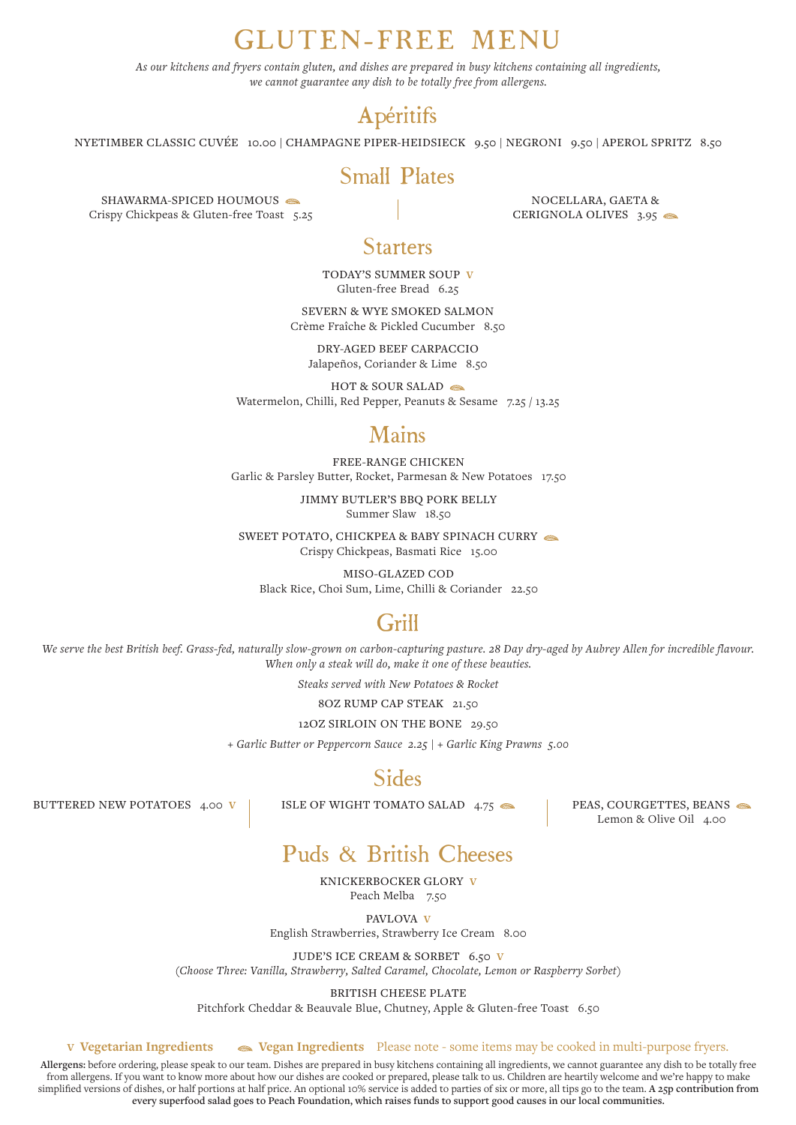# GLUTEN-FREE MENU

*As our kitchens and fryers contain gluten, and dishes are prepared in busy kitchens containing all ingredients, we cannot guarantee any dish to be totally free from allergens.*

## Apéritifs

NYETIMBER CLASSIC CUVÉE 10.00 | CHAMPAGNE PIPER-HEIDSIECK 9.50 | NEGRONI 9.50 | APEROL SPRITZ 8.50

#### Small Plates

SHAWARMA-SPICED HOUMOUS Crispy Chickpeas & Gluten-free Toast 5.25

NOCELLARA, GAETA & CERIGNOLA OLIVES 3.95

### **Starters**

TODAY'S SUMMER SOUP **V** Gluten-free Bread 6.25

SEVERN & WYE SMOKED SALMON Crème Fraîche & Pickled Cucumber 8.50

DRY-AGED BEEF CARPACCIO Jalapeños, Coriander & Lime 8.50

HOT & SOUR SALAD Watermelon, Chilli, Red Pepper, Peanuts & Sesame 7.25 / 13.25

### Mains

FREE-RANGE CHICKEN Garlic & Parsley Butter, Rocket, Parmesan & New Potatoes 17.50

> JIMMY BUTLER'S BBQ PORK BELLY Summer Slaw 18.50

SWEET POTATO, CHICKPEA & BABY SPINACH CURRY Crispy Chickpeas, Basmati Rice 15.00

MISO-GLAZED COD Black Rice, Choi Sum, Lime, Chilli & Coriander 22.50

## Grill

*We serve the best British beef. Grass-fed, naturally slow-grown on carbon-capturing pasture. 28 Day dry-aged by Aubrey Allen for incredible flavour. When only a steak will do, make it one of these beauties.*

*Steaks served with New Potatoes & Rocket*

8OZ RUMP CAP STEAK 21.50

12OZ SIRLOIN ON THE BONE 29.50

*+ Garlic Butter or Peppercorn Sauce 2.25 | + Garlic King Prawns 5.00*

### Sides

BUTTERED NEW POTATOES 4.00 **V** | ISLE OF WIGHT TOMATO SALAD 4.75

PEAS, COURGETTES, BEANS Lemon & Olive Oil 4.00

## Puds & British Cheeses

KNICKERBOCKER GLORY **V** Peach Melba 7.50

PAVLOVA **V**

English Strawberries, Strawberry Ice Cream 8.00

JUDE'S ICE CREAM & SORBET 6.50 **V**

*(Choose Three: Vanilla, Strawberry, Salted Caramel, Chocolate, Lemon or Raspberry Sorbet)*

BRITISH CHEESE PLATE Pitchfork Cheddar & Beauvale Blue, Chutney, Apple & Gluten-free Toast 6.50

**V Vegetarian Ingredients Vegan Ingredients** Please note - some items may be cooked in multi-purpose fryers.

**Allergens:** before ordering, please speak to our team. Dishes are prepared in busy kitchens containing all ingredients, we cannot guarantee any dish to be totally free from allergens. If you want to know more about how our dishes are cooked or prepared, please talk to us. Children are heartily welcome and we're happy to make simplified versions of dishes, or half portions at half price. An optional 10% service is added to parties of six or more, all tips go to the team. **A 25p contribution from every superfood salad goes to Peach Foundation, which raises funds to support good causes in our local communities.**